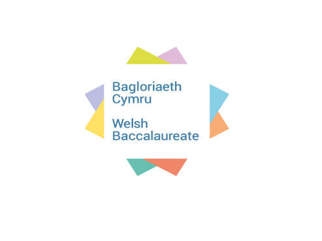







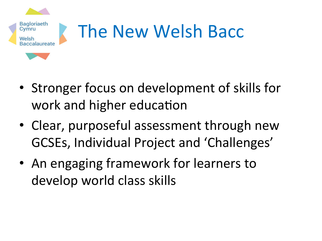

- Stronger focus on development of skills for work and higher education
- Clear, purposeful assessment through new GCSEs, Individual Project and 'Challenges'
- An engaging framework for learners to develop world class skills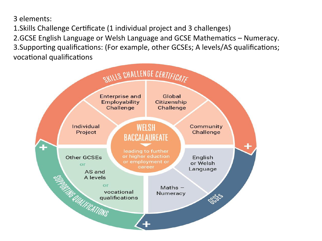3 elements: 

1. Skills Challenge Certificate (1 individual project and 3 challenges)

2.GCSE English Language or Welsh Language and GCSE Mathematics – Numeracy. 3. Supporting qualifications: (For example, other GCSEs; A levels/AS qualifications; vocational qualifications

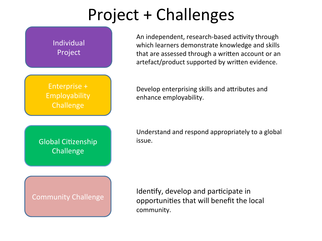### Project + Challenges



An independent, research-based activity through which learners demonstrate knowledge and skills that are assessed through a written account or an artefact/product supported by written evidence.

Develop enterprising skills and attributes and enhance employability.

Understand and respond appropriately to a global issue. 

Identify, develop and participate in opportunities that will benefit the local community.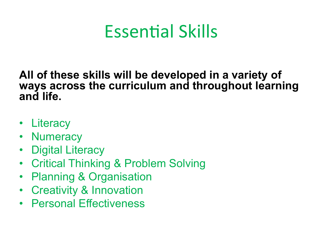## Essential Skills

**All of these skills will be developed in a variety of ways across the curriculum and throughout learning and life.** 

- Literacy
- Numeracy
- Digital Literacy
- Critical Thinking & Problem Solving
- Planning & Organisation
- Creativity & Innovation
- Personal Effectiveness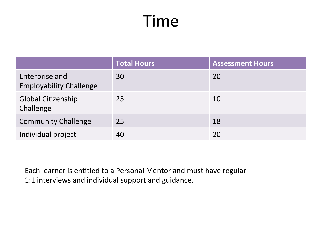#### Time

|                                                  | <b>Total Hours</b> | <b>Assessment Hours</b> |
|--------------------------------------------------|--------------------|-------------------------|
| Enterprise and<br><b>Employability Challenge</b> | 30                 | 20                      |
| <b>Global Citizenship</b><br>Challenge           | 25                 | 10                      |
| <b>Community Challenge</b>                       | 25                 | 18                      |
| Individual project                               | 40                 | 20                      |

Each learner is entitled to a Personal Mentor and must have regular 1:1 interviews and individual support and guidance.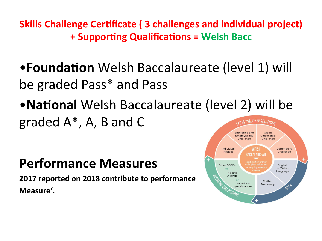**Skills Challenge Certificate (3 challenges and individual project) + Supporting Qualifications = Welsh Bacc** 

- **Foundation** Welsh Baccalaureate (level 1) will be graded Pass\* and Pass
- **National** Welsh Baccalaureate (level 2) will be graded  $A^*$ , A, B and C OWILLS CHALLENGE CERTIFICATE

#### **Performance Measures**

**2017 reported on 2018 contribute to performance Measure'.**